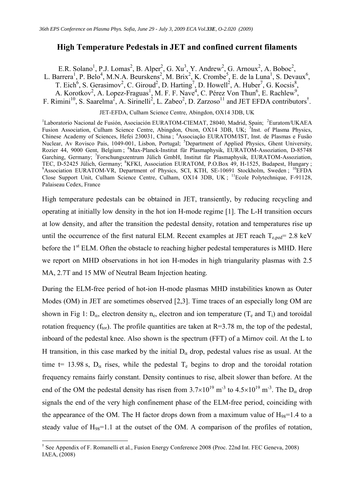## High Temperature Pedestals in JET and confined current filaments

E.R. Solano<sup>1</sup>, P.J. Lomas<sup>2</sup>, B. Alper<sup>2</sup>, G. Xu<sup>3</sup>, Y. Andrew<sup>2</sup>, G. Arnoux<sup>2</sup>, A. Boboc<sup>2</sup>, L. Barrera<sup>1</sup>, P. Belo<sup>4</sup>, M.N.A. Beurskens<sup>2</sup>, M. Brix<sup>2</sup>, K. Crombe<sup>5</sup>, E. de la Luna<sup>1</sup>, S. Devaux<sup>6</sup>, T. Eich<sup>6</sup>, S. Gerasimov<sup>2</sup>, C. Giroud<sup>2</sup>, D. Harting<sup>7</sup>, D. Howell<sup>2</sup>, A. Huber<sup>7</sup>, G. Kocsis<sup>8</sup>, A. Korotkov<sup>2</sup>, A. Lopez-Fraguas<sup>1</sup>, M. F. F. Nave<sup>4</sup>, C. Pérez Von Thun<sup>6</sup>, E. Rachlew<sup>9</sup>, F. Rimini<sup>10</sup>, S. Saarelma<sup>2</sup>, A. Sirinelli<sup>2</sup>, L. Zabeo<sup>2</sup>, D. Zarzoso<sup>11</sup> and JET EFDA contributors<sup>†</sup>.

JET-EFDA, Culham Science Centre, Abingdon, OX14 3DB, UK

<sup>1</sup>Laboratorio Nacional de Fusión, Asociación EURATOM-CIEMAT, 28040, Madrid, Spain; <sup>2</sup>Euratom/UKAEA Fusion Association, Culham Science Centre, Abingdon, Oxon, OX14 3DB, UK; <sup>3</sup>Inst. of Plasma Physics, Chinese Academy of Sciences, Hefei 230031, China ; <sup>4</sup>Associação EURATOM/IST, Inst. de Plasmas e Fusão Nuclear, Av Rovisco Pais, 1049-001, Lisbon, Portugal; <sup>5</sup>Department of Applied Physics, Ghent University, Rozier 44, 9000 Gent, Belgium ; <sup>6</sup>Max-Planck-Institut für Plasmaphysik, EURATOM-Assoziation, D-85748 Garching, Germany; <sup>7</sup>Forschungszentrum Jülich GmbH, Institut für Plasmaphysik, EURATOM-Assoziation, TEC, D-52425 Jülich, Germany; <sup>8</sup>KFKI, Association EURATOM, P.O.Box 49, H-1525, Budapest, Hungary; <sup>9</sup>Association EURATOM-VR, Department of Physics, SCI, KTH, SE-10691 Stockholm, Sweden; <sup>10</sup>EFDA Close Support Unit, Culham Science Centre, Culham, OX14 3DB, UK; <sup>11</sup>Ecole Polytechnique, F-91128, Palaiseau Cedex, France

High temperature pedestals can be obtained in JET, transiently, by reducing recycling and operating at initially low density in the hot ion H-mode regime [1]. The L-H transition occurs at low density, and after the transition the pedestal density, rotation and temperatures rise up until the occurrence of the first natural ELM. Recent examples at JET reach  $T_{e,ped}$  = 2.8 keV before the 1<sup>st</sup> ELM. Often the obstacle to reaching higher pedestal temperatures is MHD. Here we report on MHD observations in hot ion H-modes in high triangularity plasmas with 2.5 MA, 2.7T and 15 MW of Neutral Beam Injection heating.

During the ELM-free period of hot-ion H-mode plasmas MHD instabilities known as Outer Modes (OM) in JET are sometimes observed [2,3]. Time traces of an especially long OM are shown in Fig 1:  $D_{\alpha}$ , electron density n<sub>e</sub>, electron and ion temperature (T<sub>e</sub> and T<sub>i</sub>) and toroidal rotation frequency ( $f_{\text{tor}}$ ). The profile quantities are taken at R=3.78 m, the top of the pedestal, inboard of the pedestal knee. Also shown is the spectrum (FFT) of a Mirnov coil. At the L to H transition, in this case marked by the initial  $D_{\alpha}$  drop, pedestal values rise as usual. At the time t= 13.98 s,  $D_{\alpha}$  rises, while the pedestal  $T_e$  begins to drop and the toroidal rotation frequency remains fairly constant. Density continues to rise, albeit slower than before. At the end of the OM the pedestal density has risen from  $3.7 \times 10^{19}$  m<sup>-3</sup> to  $4.5 \times 10^{19}$  m<sup>-3</sup>. The D<sub>α</sub> drop signals the end of the very high confinement phase of the ELM-free period, coinciding with the appearance of the OM. The H factor drops down from a maximum value of  $H_{98}=1.4$  to a steady value of  $H_{98}=1.1$  at the outset of the OM. A comparison of the profiles of rotation,

 $\overline{a}$ 

<sup>†</sup> See Appendix of F. Romanelli et al., Fusion Energy Conference 2008 (Proc. 22nd Int. FEC Geneva, 2008) IAEA, (2008)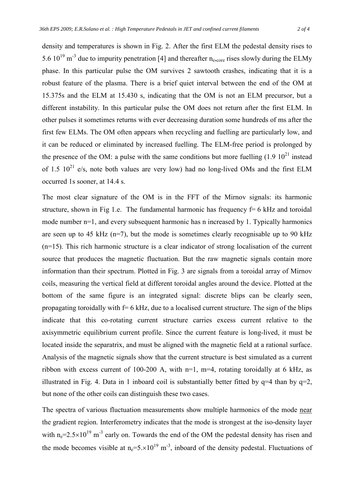density and temperatures is shown in Fig. 2. After the first ELM the pedestal density rises to 5.6  $10^{19}$  m<sup>-3</sup> due to impurity penetration [4] and thereafter n<sub>e,core</sub> rises slowly during the ELMy phase. In this particular pulse the OM survives 2 sawtooth crashes, indicating that it is a robust feature of the plasma. There is a brief quiet interval between the end of the OM at 15.375s and the ELM at 15.430 s, indicating that the OM is not an ELM precursor, but a different instability. In this particular pulse the OM does not return after the first ELM. In other pulses it sometimes returns with ever decreasing duration some hundreds of ms after the first few ELMs. The OM often appears when recycling and fuelling are particularly low, and it can be reduced or eliminated by increased fuelling. The ELM-free period is prolonged by the presence of the OM: a pulse with the same conditions but more fuelling  $(1.9 10<sup>21</sup>$  instead of 1.5  $10^{21}$  e/s, note both values are very low) had no long-lived OMs and the first ELM occurred 1s sooner, at 14.4 s.

The most clear signature of the OM is in the FFT of the Mirnov signals: its harmonic structure, shown in Fig 1.e. The fundamental harmonic has frequency  $f=6$  kHz and toroidal mode number n=1, and every subsequent harmonic has n increased by 1. Typically harmonics are seen up to 45 kHz ( $n=7$ ), but the mode is sometimes clearly recognisable up to 90 kHz (n=15). This rich harmonic structure is a clear indicator of strong localisation of the current source that produces the magnetic fluctuation. But the raw magnetic signals contain more information than their spectrum. Plotted in Fig. 3 are signals from a toroidal array of Mirnov coils, measuring the vertical field at different toroidal angles around the device. Plotted at the bottom of the same figure is an integrated signal: discrete blips can be clearly seen, propagating toroidally with  $f=6$  kHz, due to a localised current structure. The sign of the blips indicate that this co-rotating current structure carries excess current relative to the axisymmetric equilibrium current profile. Since the current feature is long-lived, it must be located inside the separatrix, and must be aligned with the magnetic field at a rational surface. Analysis of the magnetic signals show that the current structure is best simulated as a current ribbon with excess current of 100-200 A, with n=1, m=4, rotating toroidally at 6 kHz, as illustrated in Fig. 4. Data in 1 inboard coil is substantially better fitted by  $q=4$  than by  $q=2$ , but none of the other coils can distinguish these two cases.

The spectra of various fluctuation measurements show multiple harmonics of the mode near the gradient region. Interferometry indicates that the mode is strongest at the iso-density layer with n<sub>e</sub>= $2.5 \times 10^{19}$  m<sup>-3</sup> early on. Towards the end of the OM the pedestal density has risen and the mode becomes visible at  $n=5\times10^{19}$  m<sup>-3</sup>, inboard of the density pedestal. Fluctuations of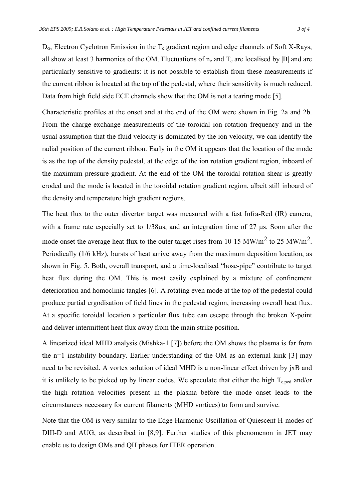$D_{\alpha}$ , Electron Cyclotron Emission in the T<sub>e</sub> gradient region and edge channels of Soft X-Rays, all show at least 3 harmonics of the OM. Fluctuations of  $n_e$  and  $T_e$  are localised by |B| and are particularly sensitive to gradients: it is not possible to establish from these measurements if the current ribbon is located at the top of the pedestal, where their sensitivity is much reduced. Data from high field side ECE channels show that the OM is not a tearing mode [5].

Characteristic profiles at the onset and at the end of the OM were shown in Fig. 2a and 2b. From the charge-exchange measurements of the toroidal ion rotation frequency and in the usual assumption that the fluid velocity is dominated by the ion velocity, we can identify the radial position of the current ribbon. Early in the OM it appears that the location of the mode is as the top of the density pedestal, at the edge of the ion rotation gradient region, inboard of the maximum pressure gradient. At the end of the OM the toroidal rotation shear is greatly eroded and the mode is located in the toroidal rotation gradient region, albeit still inboard of the density and temperature high gradient regions.

The heat flux to the outer divertor target was measured with a fast Infra-Red (IR) camera, with a frame rate especially set to  $1/38\mu s$ , and an integration time of 27  $\mu s$ . Soon after the mode onset the average heat flux to the outer target rises from 10-15 MW/m2 to 25 MW/m2. Periodically (1/6 kHz), bursts of heat arrive away from the maximum deposition location, as shown in Fig. 5. Both, overall transport, and a time-localised "hose-pipe" contribute to target heat flux during the OM. This is most easily explained by a mixture of confinement deterioration and homoclinic tangles [6]. A rotating even mode at the top of the pedestal could produce partial ergodisation of field lines in the pedestal region, increasing overall heat flux. At a specific toroidal location a particular flux tube can escape through the broken X-point and deliver intermittent heat flux away from the main strike position.

A linearized ideal MHD analysis (Mishka-1 [7]) before the OM shows the plasma is far from the n=1 instability boundary. Earlier understanding of the OM as an external kink [3] may need to be revisited. A vortex solution of ideal MHD is a non-linear effect driven by jxB and it is unlikely to be picked up by linear codes. We speculate that either the high  $T_{\text{ened}}$  and/or the high rotation velocities present in the plasma before the mode onset leads to the circumstances necessary for current filaments (MHD vortices) to form and survive.

Note that the OM is very similar to the Edge Harmonic Oscillation of Quiescent H-modes of DIII-D and AUG, as described in [8,9]. Further studies of this phenomenon in JET may enable us to design OMs and QH phases for ITER operation.